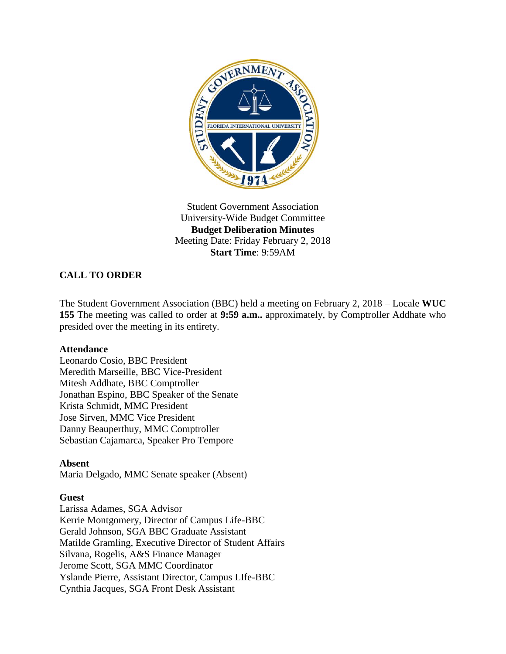

Student Government Association University-Wide Budget Committee **Budget Deliberation Minutes** Meeting Date: Friday February 2, 2018 **Start Time**: 9:59AM

# **CALL TO ORDER**

The Student Government Association (BBC) held a meeting on February 2, 2018 – Locale **WUC 155** The meeting was called to order at **9:59 a.m..** approximately, by Comptroller Addhate who presided over the meeting in its entirety.

#### **Attendance**

Leonardo Cosio, BBC President Meredith Marseille, BBC Vice-President Mitesh Addhate, BBC Comptroller Jonathan Espino, BBC Speaker of the Senate Krista Schmidt, MMC President Jose Sirven, MMC Vice President Danny Beauperthuy, MMC Comptroller Sebastian Cajamarca, Speaker Pro Tempore

### **Absent**

Maria Delgado, MMC Senate speaker (Absent)

#### **Guest**

Larissa Adames, SGA Advisor Kerrie Montgomery, Director of Campus Life-BBC Gerald Johnson, SGA BBC Graduate Assistant Matilde Gramling, Executive Director of Student Affairs Silvana, Rogelis, A&S Finance Manager Jerome Scott, SGA MMC Coordinator Yslande Pierre, Assistant Director, Campus LIfe-BBC Cynthia Jacques, SGA Front Desk Assistant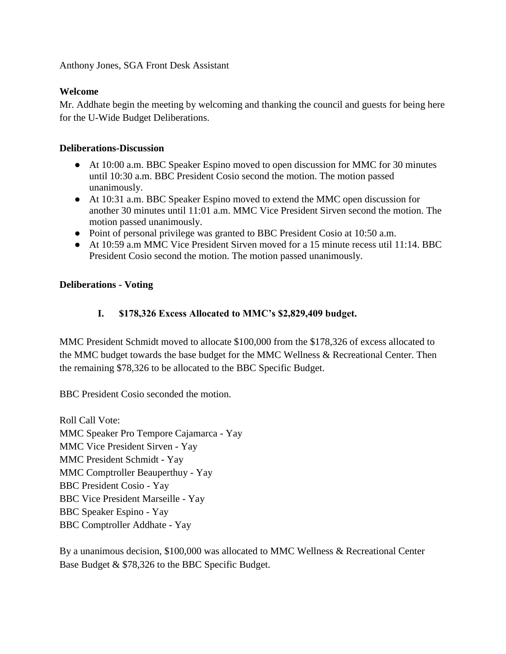Anthony Jones, SGA Front Desk Assistant

## **Welcome**

Mr. Addhate begin the meeting by welcoming and thanking the council and guests for being here for the U-Wide Budget Deliberations.

### **Deliberations-Discussion**

- At 10:00 a.m. BBC Speaker Espino moved to open discussion for MMC for 30 minutes until 10:30 a.m. BBC President Cosio second the motion. The motion passed unanimously.
- At 10:31 a.m. BBC Speaker Espino moved to extend the MMC open discussion for another 30 minutes until 11:01 a.m. MMC Vice President Sirven second the motion. The motion passed unanimously.
- Point of personal privilege was granted to BBC President Cosio at 10:50 a.m.
- At 10:59 a.m MMC Vice President Sirven moved for a 15 minute recess util 11:14. BBC President Cosio second the motion. The motion passed unanimously.

## **Deliberations - Voting**

## **I. \$178,326 Excess Allocated to MMC's \$2,829,409 budget.**

MMC President Schmidt moved to allocate \$100,000 from the \$178,326 of excess allocated to the MMC budget towards the base budget for the MMC Wellness & Recreational Center. Then the remaining \$78,326 to be allocated to the BBC Specific Budget.

BBC President Cosio seconded the motion.

Roll Call Vote: MMC Speaker Pro Tempore Cajamarca - Yay MMC Vice President Sirven - Yay MMC President Schmidt - Yay MMC Comptroller Beauperthuy - Yay BBC President Cosio - Yay BBC Vice President Marseille - Yay BBC Speaker Espino - Yay BBC Comptroller Addhate - Yay

By a unanimous decision, \$100,000 was allocated to MMC Wellness & Recreational Center Base Budget & \$78,326 to the BBC Specific Budget.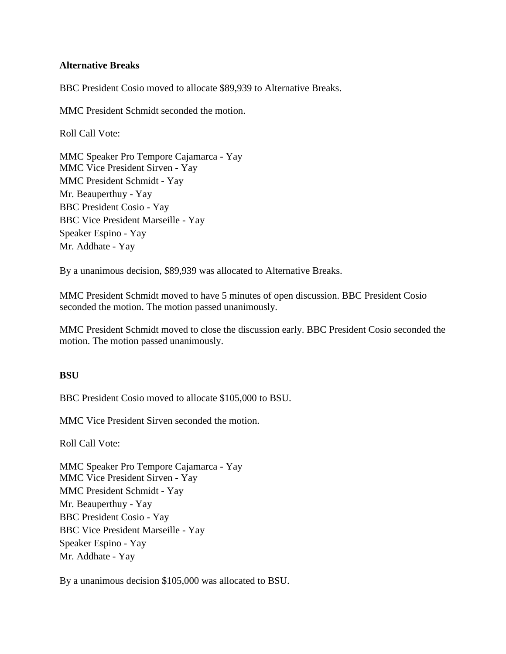#### **Alternative Breaks**

BBC President Cosio moved to allocate \$89,939 to Alternative Breaks.

MMC President Schmidt seconded the motion.

Roll Call Vote:

MMC Speaker Pro Tempore Cajamarca - Yay MMC Vice President Sirven - Yay MMC President Schmidt - Yay Mr. Beauperthuy - Yay BBC President Cosio - Yay BBC Vice President Marseille - Yay Speaker Espino - Yay Mr. Addhate - Yay

By a unanimous decision, \$89,939 was allocated to Alternative Breaks.

MMC President Schmidt moved to have 5 minutes of open discussion. BBC President Cosio seconded the motion. The motion passed unanimously.

MMC President Schmidt moved to close the discussion early. BBC President Cosio seconded the motion. The motion passed unanimously.

#### **BSU**

BBC President Cosio moved to allocate \$105,000 to BSU.

MMC Vice President Sirven seconded the motion.

Roll Call Vote:

MMC Speaker Pro Tempore Cajamarca - Yay MMC Vice President Sirven - Yay MMC President Schmidt - Yay Mr. Beauperthuy - Yay BBC President Cosio - Yay BBC Vice President Marseille - Yay Speaker Espino - Yay Mr. Addhate - Yay

By a unanimous decision \$105,000 was allocated to BSU.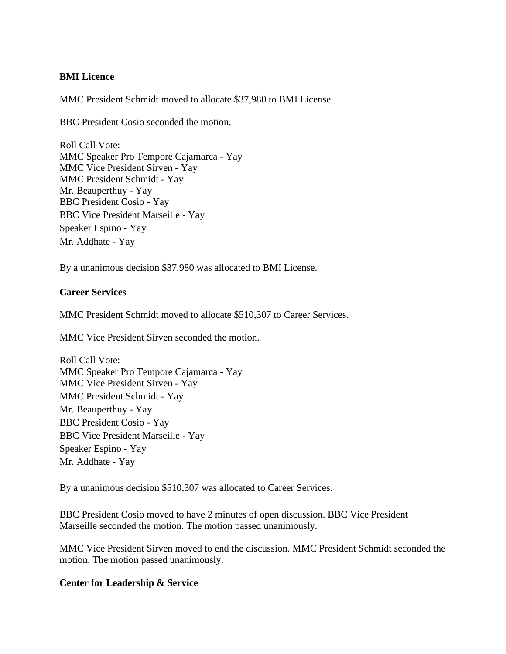#### **BMI Licence**

MMC President Schmidt moved to allocate \$37,980 to BMI License.

BBC President Cosio seconded the motion.

Roll Call Vote: MMC Speaker Pro Tempore Cajamarca - Yay MMC Vice President Sirven - Yay MMC President Schmidt - Yay Mr. Beauperthuy - Yay BBC President Cosio - Yay BBC Vice President Marseille - Yay Speaker Espino - Yay Mr. Addhate - Yay

By a unanimous decision \$37,980 was allocated to BMI License.

#### **Career Services**

MMC President Schmidt moved to allocate \$510,307 to Career Services.

MMC Vice President Sirven seconded the motion.

Roll Call Vote: MMC Speaker Pro Tempore Cajamarca - Yay MMC Vice President Sirven - Yay MMC President Schmidt - Yay Mr. Beauperthuy - Yay BBC President Cosio - Yay BBC Vice President Marseille - Yay Speaker Espino - Yay Mr. Addhate - Yay

By a unanimous decision \$510,307 was allocated to Career Services.

BBC President Cosio moved to have 2 minutes of open discussion. BBC Vice President Marseille seconded the motion. The motion passed unanimously.

MMC Vice President Sirven moved to end the discussion. MMC President Schmidt seconded the motion. The motion passed unanimously.

#### **Center for Leadership & Service**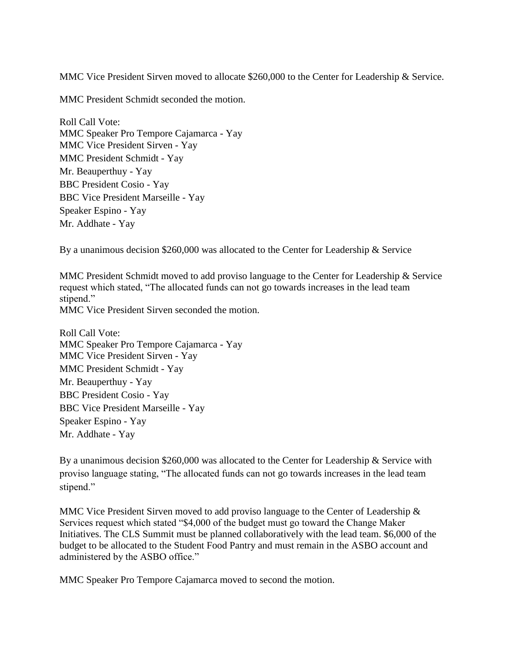MMC Vice President Sirven moved to allocate \$260,000 to the Center for Leadership & Service.

MMC President Schmidt seconded the motion.

Roll Call Vote: MMC Speaker Pro Tempore Cajamarca - Yay MMC Vice President Sirven - Yay MMC President Schmidt - Yay Mr. Beauperthuy - Yay BBC President Cosio - Yay BBC Vice President Marseille - Yay Speaker Espino - Yay Mr. Addhate - Yay

By a unanimous decision \$260,000 was allocated to the Center for Leadership & Service

MMC President Schmidt moved to add proviso language to the Center for Leadership & Service request which stated, "The allocated funds can not go towards increases in the lead team stipend." MMC Vice President Sirven seconded the motion.

Roll Call Vote: MMC Speaker Pro Tempore Cajamarca - Yay MMC Vice President Sirven - Yay MMC President Schmidt - Yay Mr. Beauperthuy - Yay BBC President Cosio - Yay BBC Vice President Marseille - Yay Speaker Espino - Yay Mr. Addhate - Yay

By a unanimous decision \$260,000 was allocated to the Center for Leadership & Service with proviso language stating, "The allocated funds can not go towards increases in the lead team stipend."

MMC Vice President Sirven moved to add proviso language to the Center of Leadership  $\&$ Services request which stated "\$4,000 of the budget must go toward the Change Maker Initiatives. The CLS Summit must be planned collaboratively with the lead team. \$6,000 of the budget to be allocated to the Student Food Pantry and must remain in the ASBO account and administered by the ASBO office."

MMC Speaker Pro Tempore Cajamarca moved to second the motion.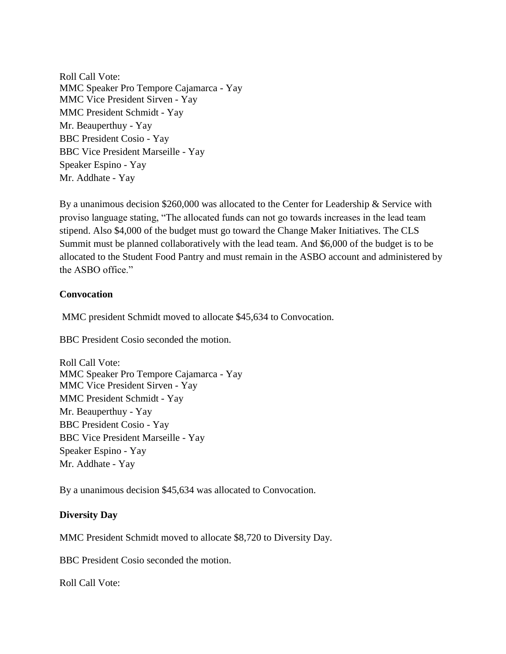Roll Call Vote: MMC Speaker Pro Tempore Cajamarca - Yay MMC Vice President Sirven - Yay MMC President Schmidt - Yay Mr. Beauperthuy - Yay BBC President Cosio - Yay BBC Vice President Marseille - Yay Speaker Espino - Yay Mr. Addhate - Yay

By a unanimous decision \$260,000 was allocated to the Center for Leadership & Service with proviso language stating, "The allocated funds can not go towards increases in the lead team stipend. Also \$4,000 of the budget must go toward the Change Maker Initiatives. The CLS Summit must be planned collaboratively with the lead team. And \$6,000 of the budget is to be allocated to the Student Food Pantry and must remain in the ASBO account and administered by the ASBO office."

#### **Convocation**

MMC president Schmidt moved to allocate \$45,634 to Convocation.

BBC President Cosio seconded the motion.

Roll Call Vote: MMC Speaker Pro Tempore Cajamarca - Yay MMC Vice President Sirven - Yay MMC President Schmidt - Yay Mr. Beauperthuy - Yay BBC President Cosio - Yay BBC Vice President Marseille - Yay Speaker Espino - Yay Mr. Addhate - Yay

By a unanimous decision \$45,634 was allocated to Convocation.

#### **Diversity Day**

MMC President Schmidt moved to allocate \$8,720 to Diversity Day.

BBC President Cosio seconded the motion.

Roll Call Vote: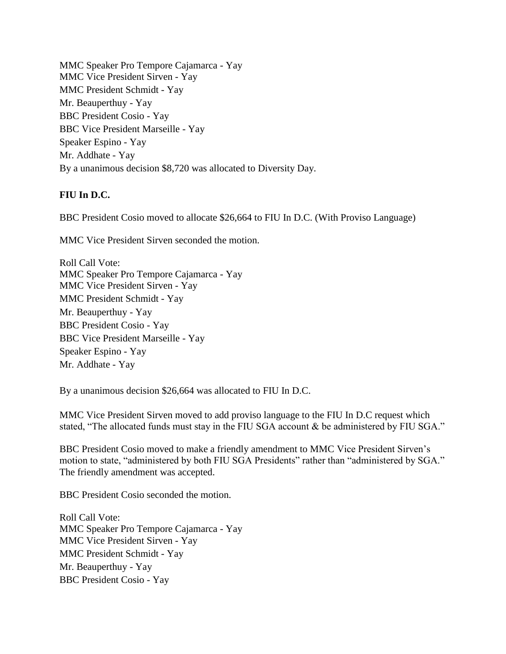MMC Speaker Pro Tempore Cajamarca - Yay MMC Vice President Sirven - Yay MMC President Schmidt - Yay Mr. Beauperthuy - Yay BBC President Cosio - Yay BBC Vice President Marseille - Yay Speaker Espino - Yay Mr. Addhate - Yay By a unanimous decision \$8,720 was allocated to Diversity Day.

## **FIU In D.C.**

BBC President Cosio moved to allocate \$26,664 to FIU In D.C. (With Proviso Language)

MMC Vice President Sirven seconded the motion.

Roll Call Vote: MMC Speaker Pro Tempore Cajamarca - Yay MMC Vice President Sirven - Yay MMC President Schmidt - Yay Mr. Beauperthuy - Yay BBC President Cosio - Yay BBC Vice President Marseille - Yay Speaker Espino - Yay Mr. Addhate - Yay

By a unanimous decision \$26,664 was allocated to FIU In D.C.

MMC Vice President Sirven moved to add proviso language to the FIU In D.C request which stated, "The allocated funds must stay in the FIU SGA account & be administered by FIU SGA."

BBC President Cosio moved to make a friendly amendment to MMC Vice President Sirven's motion to state, "administered by both FIU SGA Presidents" rather than "administered by SGA." The friendly amendment was accepted.

BBC President Cosio seconded the motion.

Roll Call Vote: MMC Speaker Pro Tempore Cajamarca - Yay MMC Vice President Sirven - Yay MMC President Schmidt - Yay Mr. Beauperthuy - Yay BBC President Cosio - Yay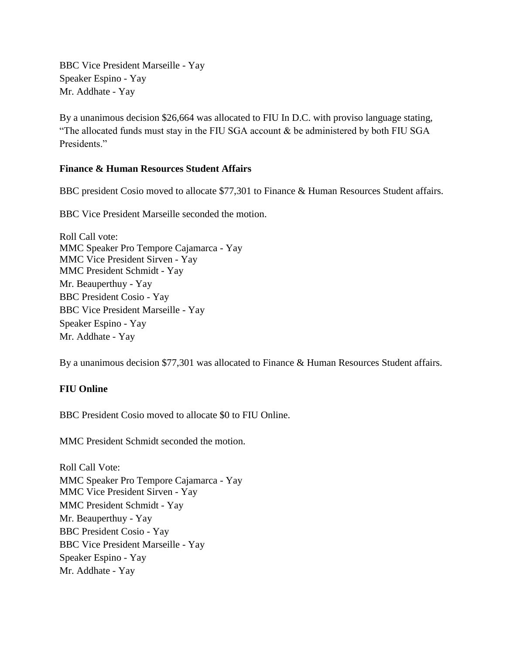BBC Vice President Marseille - Yay Speaker Espino - Yay Mr. Addhate - Yay

By a unanimous decision \$26,664 was allocated to FIU In D.C. with proviso language stating, "The allocated funds must stay in the FIU SGA account  $\&$  be administered by both FIU SGA Presidents."

### **Finance & Human Resources Student Affairs**

BBC president Cosio moved to allocate \$77,301 to Finance & Human Resources Student affairs.

BBC Vice President Marseille seconded the motion.

Roll Call vote: MMC Speaker Pro Tempore Cajamarca - Yay MMC Vice President Sirven - Yay MMC President Schmidt - Yay Mr. Beauperthuy - Yay BBC President Cosio - Yay BBC Vice President Marseille - Yay Speaker Espino - Yay Mr. Addhate - Yay

By a unanimous decision \$77,301 was allocated to Finance & Human Resources Student affairs.

## **FIU Online**

BBC President Cosio moved to allocate \$0 to FIU Online.

MMC President Schmidt seconded the motion.

Roll Call Vote: MMC Speaker Pro Tempore Cajamarca - Yay MMC Vice President Sirven - Yay MMC President Schmidt - Yay Mr. Beauperthuy - Yay BBC President Cosio - Yay BBC Vice President Marseille - Yay Speaker Espino - Yay Mr. Addhate - Yay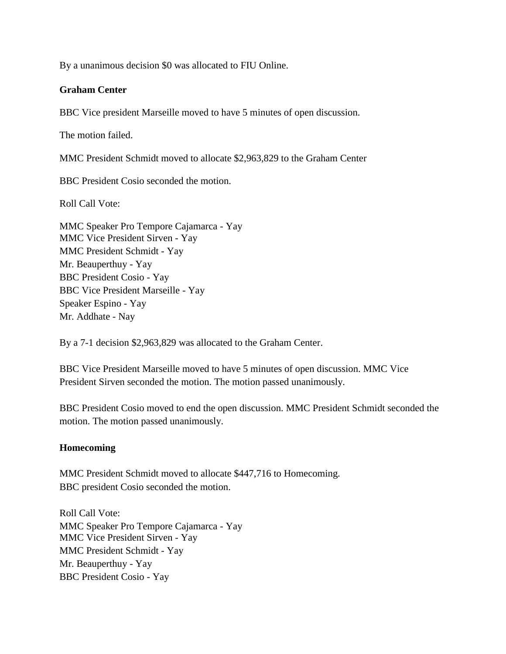By a unanimous decision \$0 was allocated to FIU Online.

#### **Graham Center**

BBC Vice president Marseille moved to have 5 minutes of open discussion.

The motion failed.

MMC President Schmidt moved to allocate \$2,963,829 to the Graham Center

BBC President Cosio seconded the motion.

Roll Call Vote:

MMC Speaker Pro Tempore Cajamarca - Yay MMC Vice President Sirven - Yay MMC President Schmidt - Yay Mr. Beauperthuy - Yay BBC President Cosio - Yay BBC Vice President Marseille - Yay Speaker Espino - Yay Mr. Addhate - Nay

By a 7-1 decision \$2,963,829 was allocated to the Graham Center.

BBC Vice President Marseille moved to have 5 minutes of open discussion. MMC Vice President Sirven seconded the motion. The motion passed unanimously.

BBC President Cosio moved to end the open discussion. MMC President Schmidt seconded the motion. The motion passed unanimously.

#### **Homecoming**

MMC President Schmidt moved to allocate \$447,716 to Homecoming. BBC president Cosio seconded the motion.

Roll Call Vote: MMC Speaker Pro Tempore Cajamarca - Yay MMC Vice President Sirven - Yay MMC President Schmidt - Yay Mr. Beauperthuy - Yay BBC President Cosio - Yay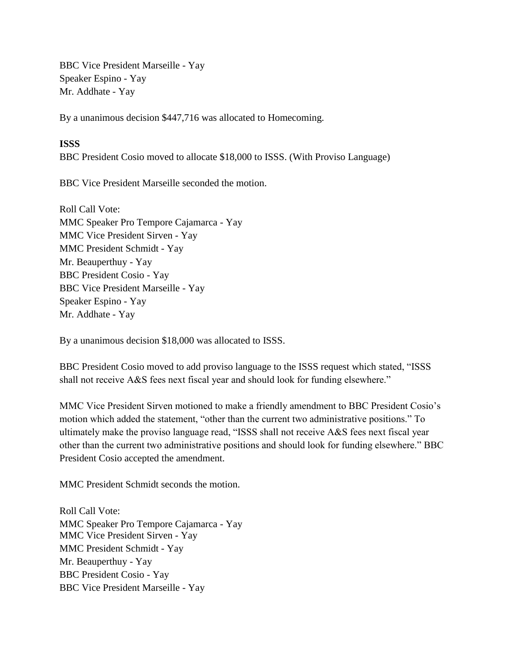BBC Vice President Marseille - Yay Speaker Espino - Yay Mr. Addhate - Yay

By a unanimous decision \$447,716 was allocated to Homecoming.

## **ISSS**

BBC President Cosio moved to allocate \$18,000 to ISSS. (With Proviso Language)

BBC Vice President Marseille seconded the motion.

Roll Call Vote: MMC Speaker Pro Tempore Cajamarca - Yay MMC Vice President Sirven - Yay MMC President Schmidt - Yay Mr. Beauperthuy - Yay BBC President Cosio - Yay BBC Vice President Marseille - Yay Speaker Espino - Yay Mr. Addhate - Yay

By a unanimous decision \$18,000 was allocated to ISSS.

BBC President Cosio moved to add proviso language to the ISSS request which stated, "ISSS shall not receive A&S fees next fiscal year and should look for funding elsewhere."

MMC Vice President Sirven motioned to make a friendly amendment to BBC President Cosio's motion which added the statement, "other than the current two administrative positions." To ultimately make the proviso language read, "ISSS shall not receive A&S fees next fiscal year other than the current two administrative positions and should look for funding elsewhere." BBC President Cosio accepted the amendment.

MMC President Schmidt seconds the motion.

Roll Call Vote: MMC Speaker Pro Tempore Cajamarca - Yay MMC Vice President Sirven - Yay MMC President Schmidt - Yay Mr. Beauperthuy - Yay BBC President Cosio - Yay BBC Vice President Marseille - Yay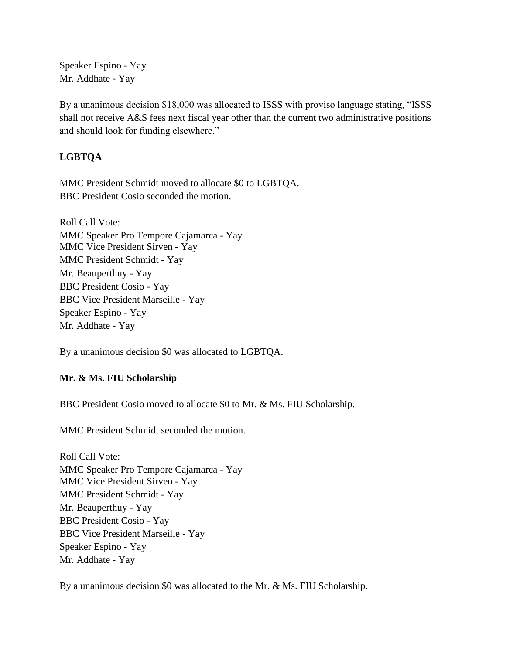Speaker Espino - Yay Mr. Addhate - Yay

By a unanimous decision \$18,000 was allocated to ISSS with proviso language stating, "ISSS shall not receive A&S fees next fiscal year other than the current two administrative positions and should look for funding elsewhere."

# **LGBTQA**

MMC President Schmidt moved to allocate \$0 to LGBTQA. BBC President Cosio seconded the motion.

Roll Call Vote: MMC Speaker Pro Tempore Cajamarca - Yay MMC Vice President Sirven - Yay MMC President Schmidt - Yay Mr. Beauperthuy - Yay BBC President Cosio - Yay BBC Vice President Marseille - Yay Speaker Espino - Yay Mr. Addhate - Yay

By a unanimous decision \$0 was allocated to LGBTQA.

# **Mr. & Ms. FIU Scholarship**

BBC President Cosio moved to allocate \$0 to Mr. & Ms. FIU Scholarship.

MMC President Schmidt seconded the motion.

Roll Call Vote: MMC Speaker Pro Tempore Cajamarca - Yay MMC Vice President Sirven - Yay MMC President Schmidt - Yay Mr. Beauperthuy - Yay BBC President Cosio - Yay BBC Vice President Marseille - Yay Speaker Espino - Yay Mr. Addhate - Yay

By a unanimous decision \$0 was allocated to the Mr. & Ms. FIU Scholarship.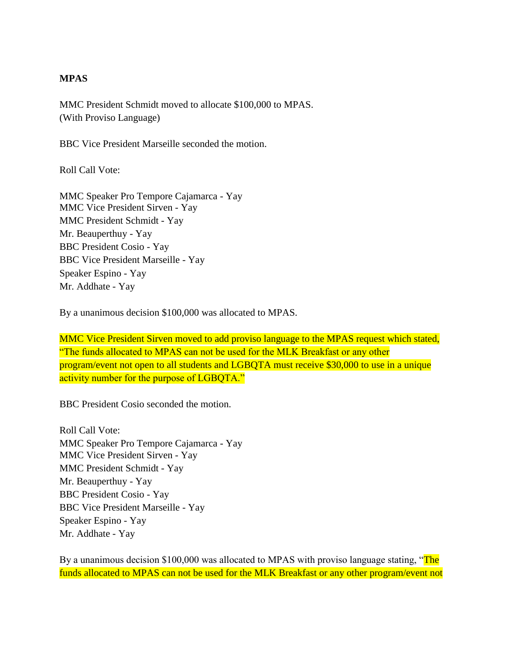### **MPAS**

MMC President Schmidt moved to allocate \$100,000 to MPAS. (With Proviso Language)

BBC Vice President Marseille seconded the motion.

Roll Call Vote:

MMC Speaker Pro Tempore Cajamarca - Yay MMC Vice President Sirven - Yay MMC President Schmidt - Yay Mr. Beauperthuy - Yay BBC President Cosio - Yay BBC Vice President Marseille - Yay Speaker Espino - Yay Mr. Addhate - Yay

By a unanimous decision \$100,000 was allocated to MPAS.

MMC Vice President Sirven moved to add proviso language to the MPAS request which stated, "The funds allocated to MPAS can not be used for the MLK Breakfast or any other program/event not open to all students and LGBQTA must receive \$30,000 to use in a unique activity number for the purpose of LGBQTA."

BBC President Cosio seconded the motion.

Roll Call Vote: MMC Speaker Pro Tempore Cajamarca - Yay MMC Vice President Sirven - Yay MMC President Schmidt - Yay Mr. Beauperthuy - Yay BBC President Cosio - Yay BBC Vice President Marseille - Yay Speaker Espino - Yay Mr. Addhate - Yay

By a unanimous decision \$100,000 was allocated to MPAS with proviso language stating, "The funds allocated to MPAS can not be used for the MLK Breakfast or any other program/event not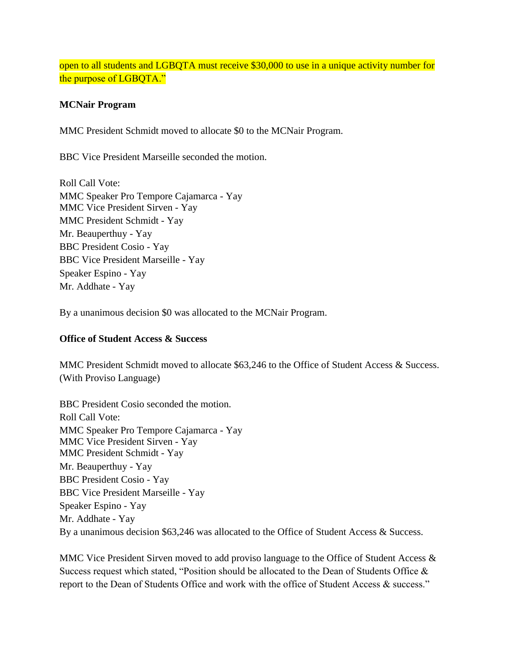## open to all students and LGBQTA must receive \$30,000 to use in a unique activity number for the purpose of LGBQTA."

### **MCNair Program**

MMC President Schmidt moved to allocate \$0 to the MCNair Program.

BBC Vice President Marseille seconded the motion.

Roll Call Vote: MMC Speaker Pro Tempore Cajamarca - Yay MMC Vice President Sirven - Yay MMC President Schmidt - Yay Mr. Beauperthuy - Yay BBC President Cosio - Yay BBC Vice President Marseille - Yay Speaker Espino - Yay Mr. Addhate - Yay

By a unanimous decision \$0 was allocated to the MCNair Program.

#### **Office of Student Access & Success**

MMC President Schmidt moved to allocate \$63,246 to the Office of Student Access & Success. (With Proviso Language)

BBC President Cosio seconded the motion. Roll Call Vote: MMC Speaker Pro Tempore Cajamarca - Yay MMC Vice President Sirven - Yay MMC President Schmidt - Yay Mr. Beauperthuy - Yay BBC President Cosio - Yay BBC Vice President Marseille - Yay Speaker Espino - Yay Mr. Addhate - Yay By a unanimous decision \$63,246 was allocated to the Office of Student Access & Success.

MMC Vice President Sirven moved to add proviso language to the Office of Student Access & Success request which stated, "Position should be allocated to the Dean of Students Office & report to the Dean of Students Office and work with the office of Student Access & success."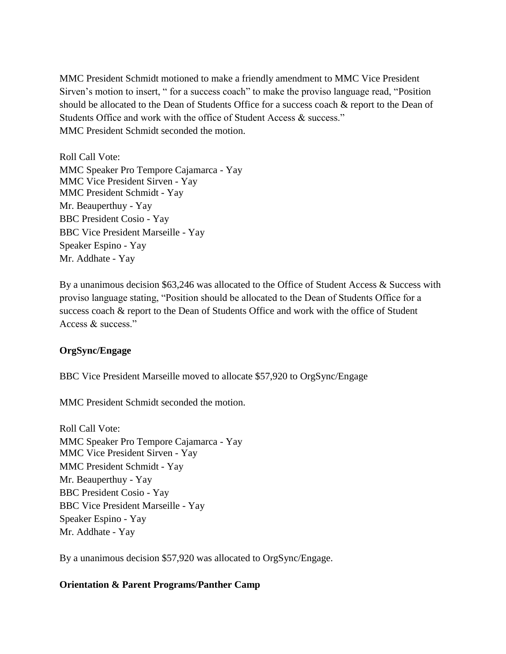MMC President Schmidt motioned to make a friendly amendment to MMC Vice President Sirven's motion to insert, " for a success coach" to make the proviso language read, "Position should be allocated to the Dean of Students Office for a success coach & report to the Dean of Students Office and work with the office of Student Access & success." MMC President Schmidt seconded the motion.

Roll Call Vote: MMC Speaker Pro Tempore Cajamarca - Yay MMC Vice President Sirven - Yay MMC President Schmidt - Yay Mr. Beauperthuy - Yay BBC President Cosio - Yay BBC Vice President Marseille - Yay Speaker Espino - Yay Mr. Addhate - Yay

By a unanimous decision \$63,246 was allocated to the Office of Student Access & Success with proviso language stating, "Position should be allocated to the Dean of Students Office for a success coach & report to the Dean of Students Office and work with the office of Student Access & success."

## **OrgSync/Engage**

BBC Vice President Marseille moved to allocate \$57,920 to OrgSync/Engage

MMC President Schmidt seconded the motion.

Roll Call Vote: MMC Speaker Pro Tempore Cajamarca - Yay MMC Vice President Sirven - Yay MMC President Schmidt - Yay Mr. Beauperthuy - Yay BBC President Cosio - Yay BBC Vice President Marseille - Yay Speaker Espino - Yay Mr. Addhate - Yay

By a unanimous decision \$57,920 was allocated to OrgSync/Engage.

#### **Orientation & Parent Programs/Panther Camp**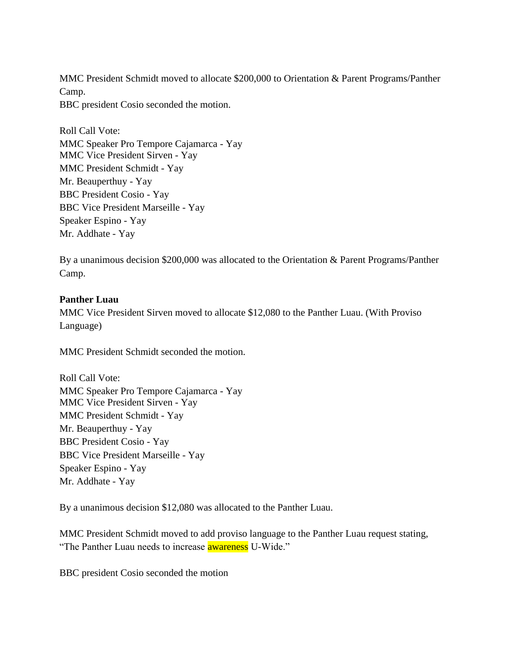MMC President Schmidt moved to allocate \$200,000 to Orientation & Parent Programs/Panther Camp.

BBC president Cosio seconded the motion.

Roll Call Vote: MMC Speaker Pro Tempore Cajamarca - Yay MMC Vice President Sirven - Yay MMC President Schmidt - Yay Mr. Beauperthuy - Yay BBC President Cosio - Yay BBC Vice President Marseille - Yay Speaker Espino - Yay Mr. Addhate - Yay

By a unanimous decision \$200,000 was allocated to the Orientation & Parent Programs/Panther Camp.

### **Panther Luau**

MMC Vice President Sirven moved to allocate \$12,080 to the Panther Luau. (With Proviso Language)

MMC President Schmidt seconded the motion.

Roll Call Vote: MMC Speaker Pro Tempore Cajamarca - Yay MMC Vice President Sirven - Yay MMC President Schmidt - Yay Mr. Beauperthuy - Yay BBC President Cosio - Yay BBC Vice President Marseille - Yay Speaker Espino - Yay Mr. Addhate - Yay

By a unanimous decision \$12,080 was allocated to the Panther Luau.

MMC President Schmidt moved to add proviso language to the Panther Luau request stating, "The Panther Luau needs to increase **awareness** U-Wide."

BBC president Cosio seconded the motion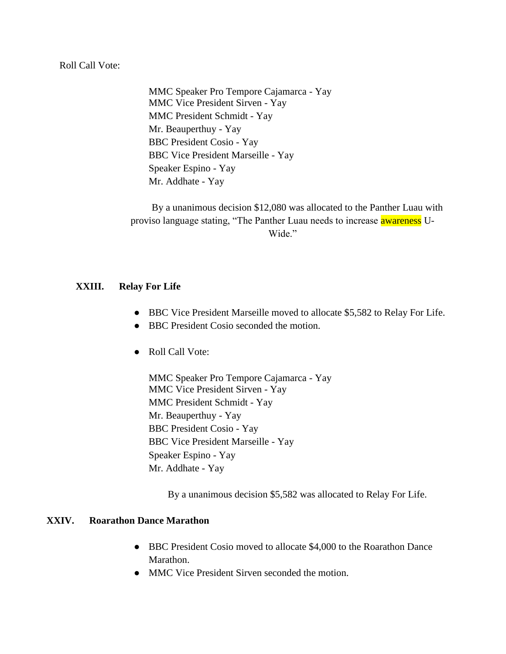#### Roll Call Vote:

MMC Speaker Pro Tempore Cajamarca - Yay MMC Vice President Sirven - Yay MMC President Schmidt - Yay Mr. Beauperthuy - Yay BBC President Cosio - Yay BBC Vice President Marseille - Yay Speaker Espino - Yay Mr. Addhate - Yay

By a unanimous decision \$12,080 was allocated to the Panther Luau with proviso language stating, "The Panther Luau needs to increase **awareness** U-Wide."

#### **XXIII. Relay For Life**

- BBC Vice President Marseille moved to allocate \$5,582 to Relay For Life.
- BBC President Cosio seconded the motion.
- Roll Call Vote:

MMC Speaker Pro Tempore Cajamarca - Yay MMC Vice President Sirven - Yay MMC President Schmidt - Yay Mr. Beauperthuy - Yay BBC President Cosio - Yay BBC Vice President Marseille - Yay Speaker Espino - Yay Mr. Addhate - Yay

By a unanimous decision \$5,582 was allocated to Relay For Life.

#### **XXIV. Roarathon Dance Marathon**

- BBC President Cosio moved to allocate \$4,000 to the Roarathon Dance Marathon.
- MMC Vice President Sirven seconded the motion.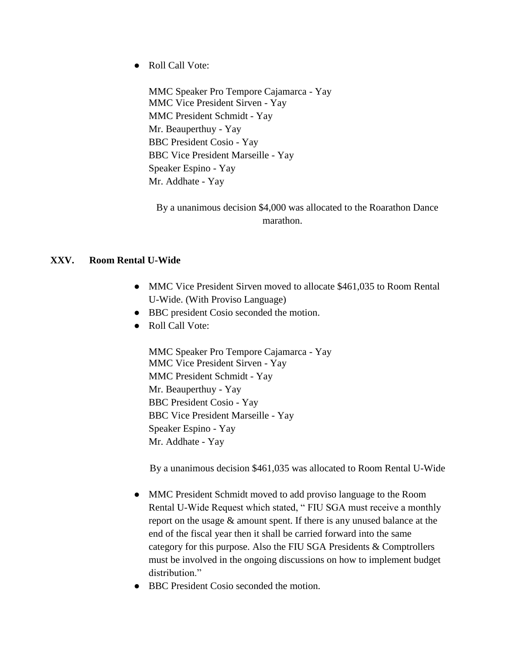● Roll Call Vote:

MMC Speaker Pro Tempore Cajamarca - Yay MMC Vice President Sirven - Yay MMC President Schmidt - Yay Mr. Beauperthuy - Yay BBC President Cosio - Yay BBC Vice President Marseille - Yay Speaker Espino - Yay Mr. Addhate - Yay

By a unanimous decision \$4,000 was allocated to the Roarathon Dance marathon.

### **XXV. Room Rental U-Wide**

- MMC Vice President Sirven moved to allocate \$461,035 to Room Rental U-Wide. (With Proviso Language)
- BBC president Cosio seconded the motion.
- Roll Call Vote:

MMC Speaker Pro Tempore Cajamarca - Yay MMC Vice President Sirven - Yay MMC President Schmidt - Yay Mr. Beauperthuy - Yay BBC President Cosio - Yay BBC Vice President Marseille - Yay Speaker Espino - Yay Mr. Addhate - Yay

By a unanimous decision \$461,035 was allocated to Room Rental U-Wide

- MMC President Schmidt moved to add proviso language to the Room Rental U-Wide Request which stated, " FIU SGA must receive a monthly report on the usage & amount spent. If there is any unused balance at the end of the fiscal year then it shall be carried forward into the same category for this purpose. Also the FIU SGA Presidents & Comptrollers must be involved in the ongoing discussions on how to implement budget distribution."
- BBC President Cosio seconded the motion.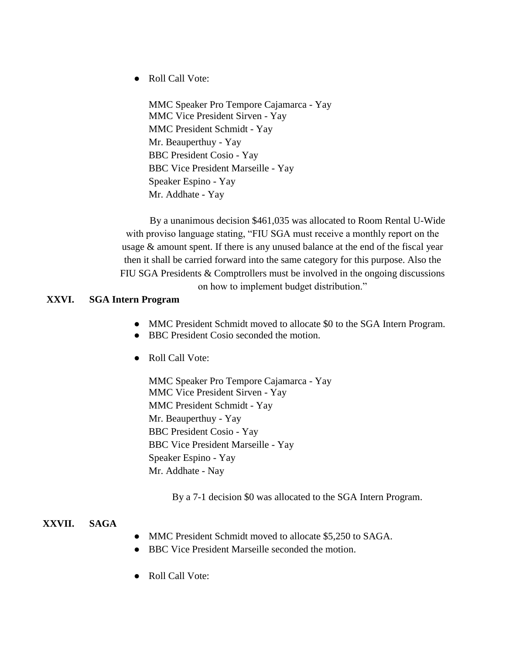● Roll Call Vote:

MMC Speaker Pro Tempore Cajamarca - Yay MMC Vice President Sirven - Yay MMC President Schmidt - Yay Mr. Beauperthuy - Yay BBC President Cosio - Yay BBC Vice President Marseille - Yay Speaker Espino - Yay Mr. Addhate - Yay

By a unanimous decision \$461,035 was allocated to Room Rental U-Wide with proviso language stating, "FIU SGA must receive a monthly report on the usage & amount spent. If there is any unused balance at the end of the fiscal year then it shall be carried forward into the same category for this purpose. Also the FIU SGA Presidents & Comptrollers must be involved in the ongoing discussions

on how to implement budget distribution."

## **XXVI. SGA Intern Program**

- MMC President Schmidt moved to allocate \$0 to the SGA Intern Program.
- BBC President Cosio seconded the motion.
- Roll Call Vote:

MMC Speaker Pro Tempore Cajamarca - Yay MMC Vice President Sirven - Yay MMC President Schmidt - Yay Mr. Beauperthuy - Yay BBC President Cosio - Yay BBC Vice President Marseille - Yay Speaker Espino - Yay Mr. Addhate - Nay

By a 7-1 decision \$0 was allocated to the SGA Intern Program.

#### **XXVII. SAGA**

- MMC President Schmidt moved to allocate \$5,250 to SAGA.
- BBC Vice President Marseille seconded the motion.
- Roll Call Vote: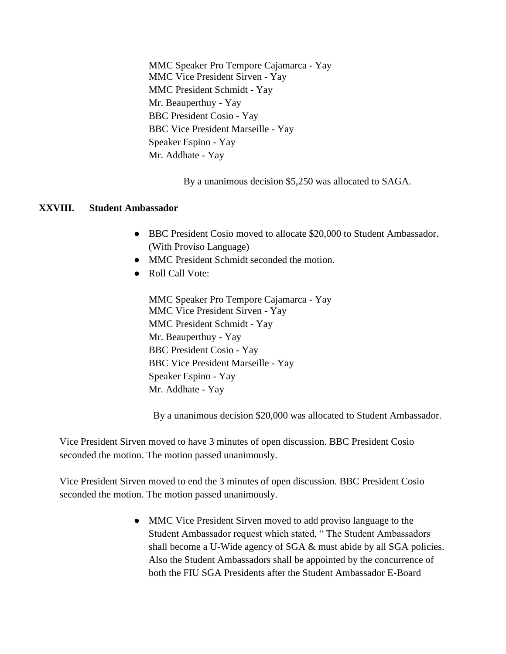MMC Speaker Pro Tempore Cajamarca - Yay MMC Vice President Sirven - Yay MMC President Schmidt - Yay Mr. Beauperthuy - Yay BBC President Cosio - Yay BBC Vice President Marseille - Yay Speaker Espino - Yay Mr. Addhate - Yay

By a unanimous decision \$5,250 was allocated to SAGA.

#### **XXVIII. Student Ambassador**

- BBC President Cosio moved to allocate \$20,000 to Student Ambassador. (With Proviso Language)
- MMC President Schmidt seconded the motion.
- Roll Call Vote:

MMC Speaker Pro Tempore Cajamarca - Yay MMC Vice President Sirven - Yay MMC President Schmidt - Yay Mr. Beauperthuy - Yay BBC President Cosio - Yay BBC Vice President Marseille - Yay Speaker Espino - Yay Mr. Addhate - Yay

By a unanimous decision \$20,000 was allocated to Student Ambassador.

Vice President Sirven moved to have 3 minutes of open discussion. BBC President Cosio seconded the motion. The motion passed unanimously.

Vice President Sirven moved to end the 3 minutes of open discussion. BBC President Cosio seconded the motion. The motion passed unanimously.

> • MMC Vice President Sirven moved to add proviso language to the Student Ambassador request which stated, " The Student Ambassadors shall become a U-Wide agency of SGA & must abide by all SGA policies. Also the Student Ambassadors shall be appointed by the concurrence of both the FIU SGA Presidents after the Student Ambassador E-Board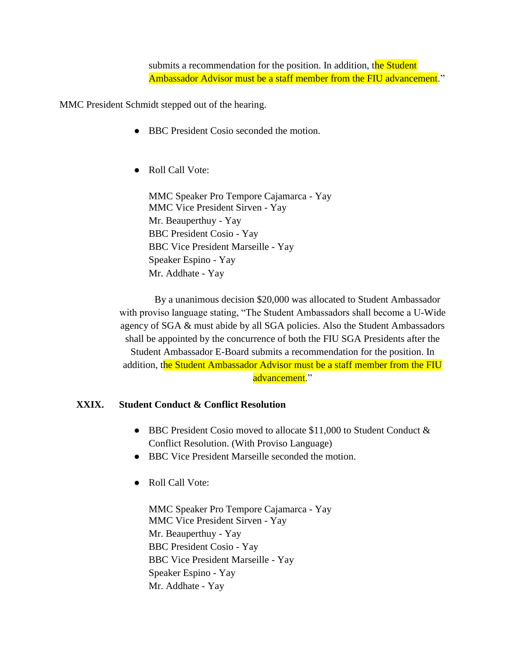submits a recommendation for the position. In addition, the Student Ambassador Advisor must be a staff member from the FIU advancement."

MMC President Schmidt stepped out of the hearing.

- BBC President Cosio seconded the motion.
- Roll Call Vote:

MMC Speaker Pro Tempore Cajamarca - Yay MMC Vice President Sirven - Yay Mr. Beauperthuy - Yay BBC President Cosio - Yay BBC Vice President Marseille - Yay Speaker Espino - Yay Mr. Addhate - Yay

By a unanimous decision \$20,000 was allocated to Student Ambassador with proviso language stating, "The Student Ambassadors shall become a U-Wide agency of SGA & must abide by all SGA policies. Also the Student Ambassadors shall be appointed by the concurrence of both the FIU SGA Presidents after the Student Ambassador E-Board submits a recommendation for the position. In addition, the Student Ambassador Advisor must be a staff member from the FIU advancement."

## **XXIX. Student Conduct & Conflict Resolution**

- BBC President Cosio moved to allocate \$11,000 to Student Conduct & Conflict Resolution. (With Proviso Language)
- BBC Vice President Marseille seconded the motion.
- Roll Call Vote:

MMC Speaker Pro Tempore Cajamarca - Yay MMC Vice President Sirven - Yay Mr. Beauperthuy - Yay BBC President Cosio - Yay BBC Vice President Marseille - Yay Speaker Espino - Yay Mr. Addhate - Yay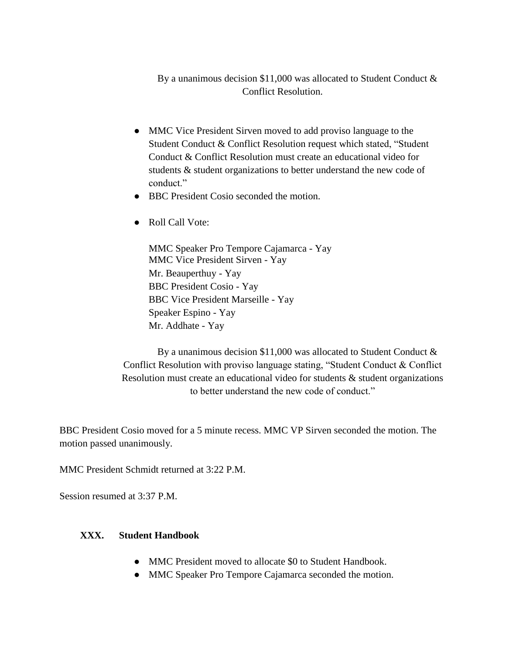By a unanimous decision \$11,000 was allocated to Student Conduct & Conflict Resolution.

- MMC Vice President Sirven moved to add proviso language to the Student Conduct & Conflict Resolution request which stated, "Student Conduct & Conflict Resolution must create an educational video for students & student organizations to better understand the new code of conduct."
- BBC President Cosio seconded the motion.
- Roll Call Vote:

MMC Speaker Pro Tempore Cajamarca - Yay MMC Vice President Sirven - Yay Mr. Beauperthuy - Yay BBC President Cosio - Yay BBC Vice President Marseille - Yay Speaker Espino - Yay Mr. Addhate - Yay

By a unanimous decision \$11,000 was allocated to Student Conduct & Conflict Resolution with proviso language stating, "Student Conduct & Conflict Resolution must create an educational video for students  $\&$  student organizations to better understand the new code of conduct."

BBC President Cosio moved for a 5 minute recess. MMC VP Sirven seconded the motion. The motion passed unanimously.

MMC President Schmidt returned at 3:22 P.M.

Session resumed at 3:37 P.M.

## **XXX. Student Handbook**

- MMC President moved to allocate \$0 to Student Handbook.
- MMC Speaker Pro Tempore Cajamarca seconded the motion.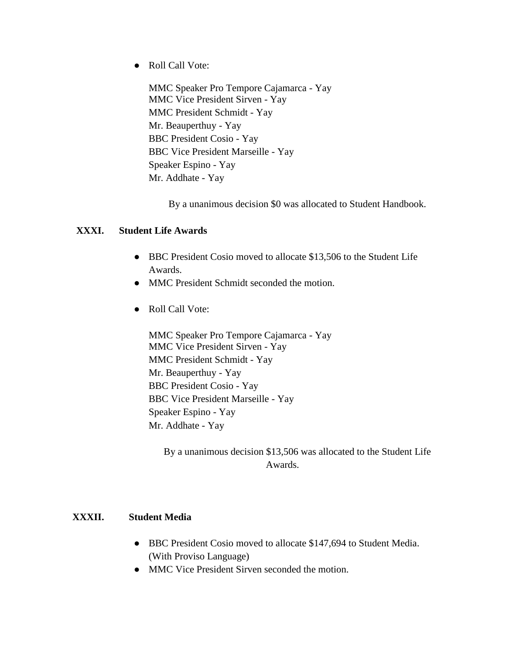● Roll Call Vote:

MMC Speaker Pro Tempore Cajamarca - Yay MMC Vice President Sirven - Yay MMC President Schmidt - Yay Mr. Beauperthuy - Yay BBC President Cosio - Yay BBC Vice President Marseille - Yay Speaker Espino - Yay Mr. Addhate - Yay

By a unanimous decision \$0 was allocated to Student Handbook.

#### **XXXI. Student Life Awards**

- BBC President Cosio moved to allocate \$13,506 to the Student Life Awards.
- MMC President Schmidt seconded the motion.
- Roll Call Vote:

MMC Speaker Pro Tempore Cajamarca - Yay MMC Vice President Sirven - Yay MMC President Schmidt - Yay Mr. Beauperthuy - Yay BBC President Cosio - Yay BBC Vice President Marseille - Yay Speaker Espino - Yay Mr. Addhate - Yay

By a unanimous decision \$13,506 was allocated to the Student Life Awards.

#### **XXXII. Student Media**

- BBC President Cosio moved to allocate \$147,694 to Student Media. (With Proviso Language)
- MMC Vice President Sirven seconded the motion.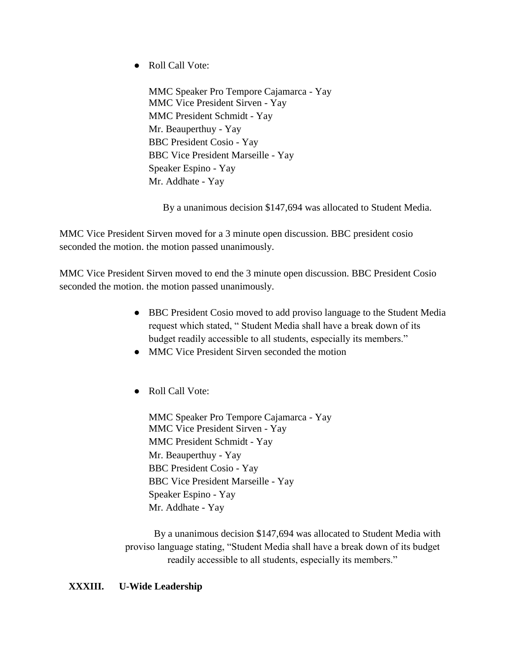● Roll Call Vote:

MMC Speaker Pro Tempore Cajamarca - Yay MMC Vice President Sirven - Yay MMC President Schmidt - Yay Mr. Beauperthuy - Yay BBC President Cosio - Yay BBC Vice President Marseille - Yay Speaker Espino - Yay Mr. Addhate - Yay

By a unanimous decision \$147,694 was allocated to Student Media.

MMC Vice President Sirven moved for a 3 minute open discussion. BBC president cosio seconded the motion. the motion passed unanimously.

MMC Vice President Sirven moved to end the 3 minute open discussion. BBC President Cosio seconded the motion. the motion passed unanimously.

- BBC President Cosio moved to add proviso language to the Student Media request which stated, " Student Media shall have a break down of its budget readily accessible to all students, especially its members."
- MMC Vice President Sirven seconded the motion
- Roll Call Vote:

MMC Speaker Pro Tempore Cajamarca - Yay MMC Vice President Sirven - Yay MMC President Schmidt - Yay Mr. Beauperthuy - Yay BBC President Cosio - Yay BBC Vice President Marseille - Yay Speaker Espino - Yay Mr. Addhate - Yay

By a unanimous decision \$147,694 was allocated to Student Media with proviso language stating, "Student Media shall have a break down of its budget readily accessible to all students, especially its members."

## **XXXIII. U-Wide Leadership**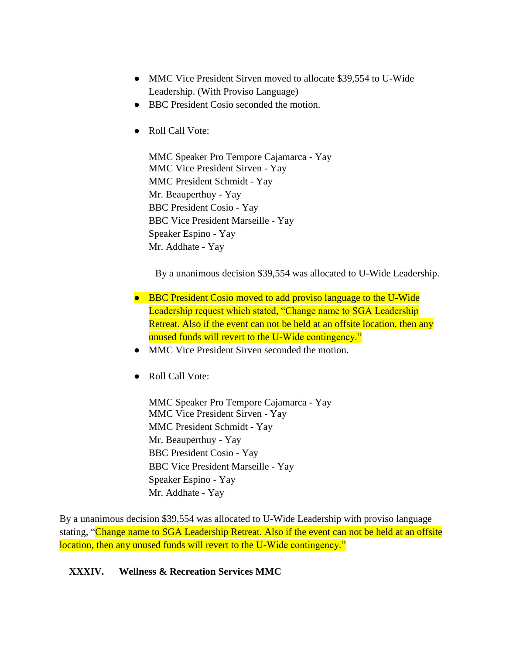- MMC Vice President Sirven moved to allocate \$39,554 to U-Wide Leadership. (With Proviso Language)
- BBC President Cosio seconded the motion.
- Roll Call Vote:

MMC Speaker Pro Tempore Cajamarca - Yay MMC Vice President Sirven - Yay MMC President Schmidt - Yay Mr. Beauperthuy - Yay BBC President Cosio - Yay BBC Vice President Marseille - Yay Speaker Espino - Yay Mr. Addhate - Yay

By a unanimous decision \$39,554 was allocated to U-Wide Leadership.

- BBC President Cosio moved to add proviso language to the U-Wide Leadership request which stated, "Change name to SGA Leadership Retreat. Also if the event can not be held at an offsite location, then any unused funds will revert to the U-Wide contingency."
- MMC Vice President Sirven seconded the motion.
- Roll Call Vote:

MMC Speaker Pro Tempore Cajamarca - Yay MMC Vice President Sirven - Yay MMC President Schmidt - Yay Mr. Beauperthuy - Yay BBC President Cosio - Yay BBC Vice President Marseille - Yay Speaker Espino - Yay Mr. Addhate - Yay

By a unanimous decision \$39,554 was allocated to U-Wide Leadership with proviso language stating, "Change name to SGA Leadership Retreat. Also if the event can not be held at an offsite location, then any unused funds will revert to the U-Wide contingency."

#### **XXXIV. Wellness & Recreation Services MMC**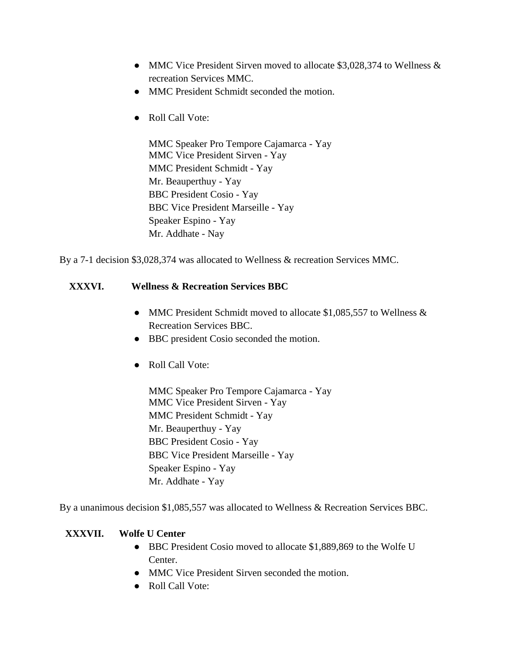- MMC Vice President Sirven moved to allocate \$3,028,374 to Wellness & recreation Services MMC.
- MMC President Schmidt seconded the motion.
- Roll Call Vote:

MMC Speaker Pro Tempore Cajamarca - Yay MMC Vice President Sirven - Yay MMC President Schmidt - Yay Mr. Beauperthuy - Yay BBC President Cosio - Yay BBC Vice President Marseille - Yay Speaker Espino - Yay Mr. Addhate - Nay

By a 7-1 decision \$3,028,374 was allocated to Wellness & recreation Services MMC.

## **XXXVI. Wellness & Recreation Services BBC**

- MMC President Schmidt moved to allocate \$1,085,557 to Wellness & Recreation Services BBC.
- BBC president Cosio seconded the motion.
- Roll Call Vote:

MMC Speaker Pro Tempore Cajamarca - Yay MMC Vice President Sirven - Yay MMC President Schmidt - Yay Mr. Beauperthuy - Yay BBC President Cosio - Yay BBC Vice President Marseille - Yay Speaker Espino - Yay Mr. Addhate - Yay

By a unanimous decision \$1,085,557 was allocated to Wellness & Recreation Services BBC.

## **XXXVII. Wolfe U Center**

- BBC President Cosio moved to allocate \$1,889,869 to the Wolfe U Center.
- MMC Vice President Sirven seconded the motion.
- Roll Call Vote: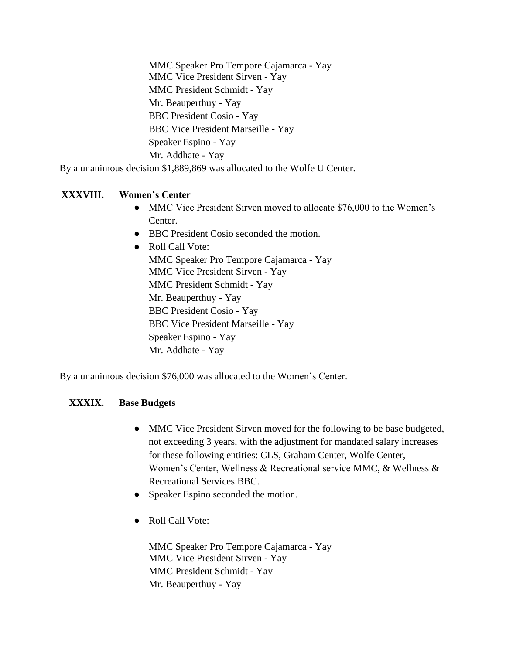MMC Speaker Pro Tempore Cajamarca - Yay MMC Vice President Sirven - Yay MMC President Schmidt - Yay Mr. Beauperthuy - Yay BBC President Cosio - Yay BBC Vice President Marseille - Yay Speaker Espino - Yay Mr. Addhate - Yay

By a unanimous decision \$1,889,869 was allocated to the Wolfe U Center.

## **XXXVIII. Women's Center**

- MMC Vice President Sirven moved to allocate \$76,000 to the Women's Center.
- BBC President Cosio seconded the motion.
- Roll Call Vote: MMC Speaker Pro Tempore Cajamarca - Yay MMC Vice President Sirven - Yay MMC President Schmidt - Yay Mr. Beauperthuy - Yay BBC President Cosio - Yay BBC Vice President Marseille - Yay Speaker Espino - Yay Mr. Addhate - Yay

By a unanimous decision \$76,000 was allocated to the Women's Center.

## **XXXIX. Base Budgets**

- MMC Vice President Sirven moved for the following to be base budgeted, not exceeding 3 years, with the adjustment for mandated salary increases for these following entities: CLS, Graham Center, Wolfe Center, Women's Center, Wellness & Recreational service MMC, & Wellness & Recreational Services BBC.
- Speaker Espino seconded the motion.
- Roll Call Vote:

MMC Speaker Pro Tempore Cajamarca - Yay MMC Vice President Sirven - Yay MMC President Schmidt - Yay Mr. Beauperthuy - Yay